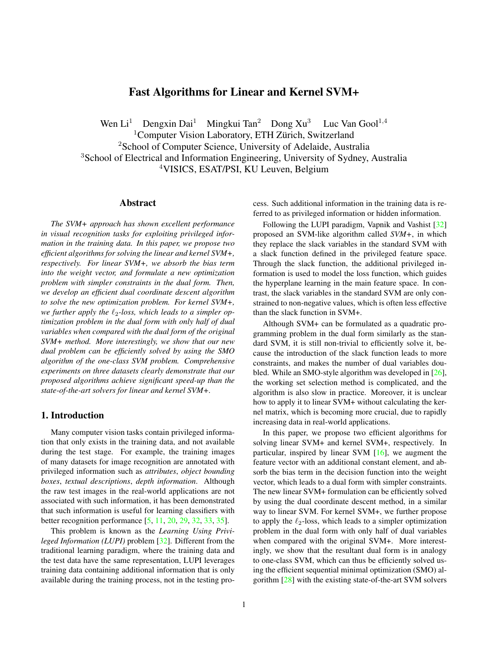# Fast Algorithms for Linear and Kernel SVM+

Wen Li<sup>1</sup> Dengxin Dai<sup>1</sup> Mingkui Tan<sup>2</sup> Dong Xu<sup>3</sup> Luc Van Gool<sup>1,4</sup>  $1$ Computer Vision Laboratory, ETH Zürich, Switzerland <sup>2</sup>School of Computer Science, University of Adelaide, Australia <sup>3</sup>School of Electrical and Information Engineering, University of Sydney, Australia <sup>4</sup>VISICS, ESAT/PSI, KU Leuven, Belgium

#### Abstract

*The SVM+ approach has shown excellent performance in visual recognition tasks for exploiting privileged information in the training data. In this paper, we propose two efficient algorithms for solving the linear and kernel SVM+, respectively. For linear SVM+, we absorb the bias term into the weight vector, and formulate a new optimization problem with simpler constraints in the dual form. Then, we develop an efficient dual coordinate descent algorithm to solve the new optimization problem. For kernel SVM+, we further apply the ℓ*2*-loss, which leads to a simpler optimization problem in the dual form with only half of dual variables when compared with the dual form of the original SVM+ method. More interestingly, we show that our new dual problem can be efficiently solved by using the SMO algorithm of the one-class SVM problem. Comprehensive experiments on three datasets clearly demonstrate that our proposed algorithms achieve significant speed-up than the state-of-the-art solvers for linear and kernel SVM+.*

#### 1. Introduction

Many computer vision tasks contain privileged information that only exists in the training data, and not available during the test stage. For example, the training images of many datasets for image recognition are annotated with privileged information such as *attributes*, *object bounding boxes*, *textual descriptions*, *depth information*. Although the raw test images in the real-world applications are not associated with such information, it has been demonstrated that such information is useful for learning classifiers with better recognition performance [5, 11, 20, 29, 32, 33, 35].

This problem is known as the *Learning Using Privileged Information (LUPI)* problem [32]. Different from the traditional learning paradigm, where the training data and the test data have the same representation, LUPI leverages training data containing additional information that is only available during the training process, not in the testing process. Such additional information in the training data is referred to as privileged information or hidden information.

Following the LUPI paradigm, Vapnik and Vashist [32] proposed an SVM-like algorithm called *SVM+*, in which they replace the slack variables in the standard SVM with a slack function defined in the privileged feature space. Through the slack function, the additional privileged information is used to model the loss function, which guides the hyperplane learning in the main feature space. In contrast, the slack variables in the standard SVM are only constrained to non-negative values, which is often less effective than the slack function in SVM+.

Although SVM+ can be formulated as a quadratic programming problem in the dual form similarly as the standard SVM, it is still non-trivial to efficiently solve it, because the introduction of the slack function leads to more constraints, and makes the number of dual variables doubled. While an SMO-style algorithm was developed in [26], the working set selection method is complicated, and the algorithm is also slow in practice. Moreover, it is unclear how to apply it to linear SVM+ without calculating the kernel matrix, which is becoming more crucial, due to rapidly increasing data in real-world applications.

In this paper, we propose two efficient algorithms for solving linear SVM+ and kernel SVM+, respectively. In particular, inspired by linear SVM [16], we augment the feature vector with an additional constant element, and absorb the bias term in the decision function into the weight vector, which leads to a dual form with simpler constraints. The new linear SVM+ formulation can be efficiently solved by using the dual coordinate descent method, in a similar way to linear SVM. For kernel SVM+, we further propose to apply the *ℓ*2-loss, which leads to a simpler optimization problem in the dual form with only half of dual variables when compared with the original SVM+. More interestingly, we show that the resultant dual form is in analogy to one-class SVM, which can thus be efficiently solved using the efficient sequential minimal optimization (SMO) algorithm [28] with the existing state-of-the-art SVM solvers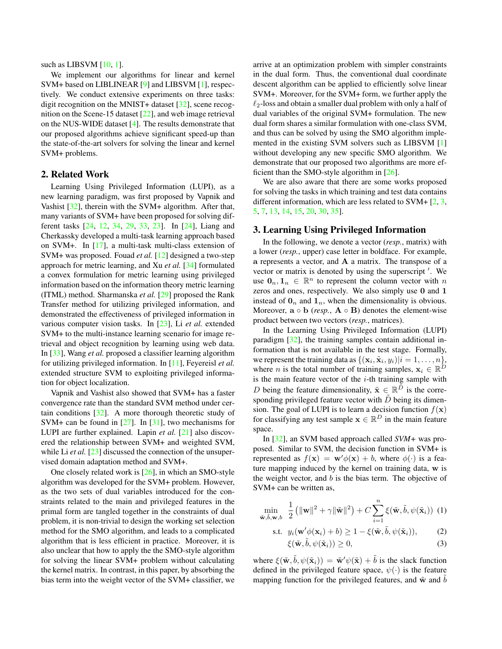such as LIBSVM [10, 1].

We implement our algorithms for linear and kernel SVM+ based on LIBLINEAR [9] and LIBSVM [1], respectively. We conduct extensive experiments on three tasks: digit recognition on the MNIST+ dataset [32], scene recognition on the Scene-15 dataset [22], and web image retrieval on the NUS-WIDE dataset [4]. The results demonstrate that our proposed algorithms achieve significant speed-up than the state-of-the-art solvers for solving the linear and kernel SVM+ problems.

### 2. Related Work

Learning Using Privileged Information (LUPI), as a new learning paradigm, was first proposed by Vapnik and Vashist [32], therein with the SVM+ algorithm. After that, many variants of SVM+ have been proposed for solving different tasks [24, 12, 34, 29, 33, 23]. In [24], Liang and Cherkassky developed a multi-task learning approach based on SVM+. In [17], a multi-task multi-class extension of SVM+ was proposed. Fouad *et al.* [12] designed a two-step approach for metric learning, and Xu *et al.* [34] formulated a convex formulation for metric learning using privileged information based on the information theory metric learning (ITML) method. Sharmanska *et al.* [29] proposed the Rank Transfer method for utilizing privileged information, and demonstrated the effectiveness of privileged information in various computer vision tasks. In [23], Li *et al.* extended SVM+ to the multi-instance learning scenario for image retrieval and object recognition by learning using web data. In [33], Wang *et al.* proposed a classifier learning algorithm for utilizing privileged information. In [11], Feyereisl *et al.* extended structure SVM to exploiting privileged information for object localization.

Vapnik and Vashist also showed that SVM+ has a faster convergence rate than the standard SVM method under certain conditions [32]. A more thorough theoretic study of SVM+ can be found in  $[27]$ . In  $[31]$ , two mechanisms for LUPI are further explained. Lapin *et al.* [21] also discovered the relationship between SVM+ and weighted SVM, while Li *et al.* [23] discussed the connection of the unsupervised domain adaptation method and SVM+.

One closely related work is [26], in which an SMO-style algorithm was developed for the SVM+ problem. However, as the two sets of dual variables introduced for the constraints related to the main and privileged features in the primal form are tangled together in the constraints of dual problem, it is non-trivial to design the working set selection method for the SMO algorithm, and leads to a complicated algorithm that is less efficient in practice. Moreover, it is also unclear that how to apply the the SMO-style algorithm for solving the linear SVM+ problem without calculating the kernel matrix. In contrast, in this paper, by absorbing the bias term into the weight vector of the SVM+ classifier, we

arrive at an optimization problem with simpler constraints in the dual form. Thus, the conventional dual coordinate descent algorithm can be applied to efficiently solve linear SVM+. Moreover, for the SVM+ form, we further apply the *ℓ*2-loss and obtain a smaller dual problem with only a half of dual variables of the original SVM+ formulation. The new dual form shares a similar formulation with one-class SVM, and thus can be solved by using the SMO algorithm implemented in the existing SVM solvers such as LIBSVM [1] without developing any new specific SMO algorithm. We demonstrate that our proposed two algorithms are more efficient than the SMO-style algorithm in [26].

We are also aware that there are some works proposed for solving the tasks in which training and test data contains different information, which are less related to SVM+ [2, 3, 5, 7, 13, 14, 15, 20, 30, 35].

## 3. Learning Using Privileged Information

In the following, we denote a vector (*resp.*, matrix) with a lower (*resp.*, upper) case letter in boldface. For example, **a** represents a vector, and **A** a matrix. The transpose of a vector or matrix is denoted by using the superscript *′* . We use  $\mathbf{0}_n, \mathbf{1}_n \in \mathbb{R}^n$  to represent the column vector with *n* zeros and ones, respectively. We also simply use **0** and **1** instead of  $\mathbf{0}_n$  and  $\mathbf{1}_n$ , when the dimensionality is obvious. Moreover,  $\mathbf{a} \circ \mathbf{b}$  (*resp.*,  $\mathbf{A} \circ \mathbf{B}$ ) denotes the element-wise product between two vectors (*resp.*, matrices).

In the Learning Using Privileged Information (LUPI) paradigm [32], the training samples contain additional information that is not available in the test stage. Formally, we represent the training data as  $\{(\mathbf{x}_i, \tilde{\mathbf{x}}_i, y_i)|i = 1, \dots, n\}$ , where *n* is the total number of training samples,  $\mathbf{x}_i \in \mathbb{R}^D$ is the main feature vector of the *i*-th training sample with *D* being the feature dimensionality,  $\tilde{\mathbf{x}} \in \mathbb{R}^{\tilde{D}}$  is the corresponding privileged feature vector with *D* being its dimension. The goal of LUPI is to learn a decision function  $f(\mathbf{x})$ for classifying any test sample  $\mathbf{x} \in \mathbb{R}^D$  in the main feature space.

In [32], an SVM based approach called *SVM+* was proposed. Similar to SVM, the decision function in SVM+ is represented as  $f(\mathbf{x}) = \mathbf{w}'\phi(\mathbf{x}) + b$ , where  $\phi(\cdot)$  is a feature mapping induced by the kernel on training data, **w** is the weight vector, and *b* is the bias term. The objective of SVM+ can be written as,

$$
\min_{\tilde{\mathbf{w}}, \tilde{b}, \mathbf{w}, b} \frac{1}{2} \left( \|\mathbf{w}\|^2 + \gamma \|\tilde{\mathbf{w}}\|^2 \right) + C \sum_{i=1}^n \xi(\tilde{\mathbf{w}}, \tilde{b}, \psi(\tilde{\mathbf{x}}_i)) \tag{1}
$$

s.t. 
$$
y_i(\mathbf{w}'\phi(\mathbf{x}_i) + b) \ge 1 - \xi(\tilde{\mathbf{w}}, \tilde{b}, \psi(\tilde{\mathbf{x}}_i)),
$$
 (2)

$$
\xi(\tilde{\mathbf{w}}, \tilde{b}, \psi(\tilde{\mathbf{x}}_i)) \ge 0,\tag{3}
$$

where  $\xi(\tilde{\mathbf{w}}, \tilde{b}, \psi(\tilde{\mathbf{x}}_i)) = \tilde{\mathbf{w}}' \psi(\tilde{\mathbf{x}}) + \tilde{b}$  is the slack function defined in the privileged feature space, *ψ*(*·*) is the feature mapping function for the privileged features, and  $\tilde{w}$  and  $\tilde{b}$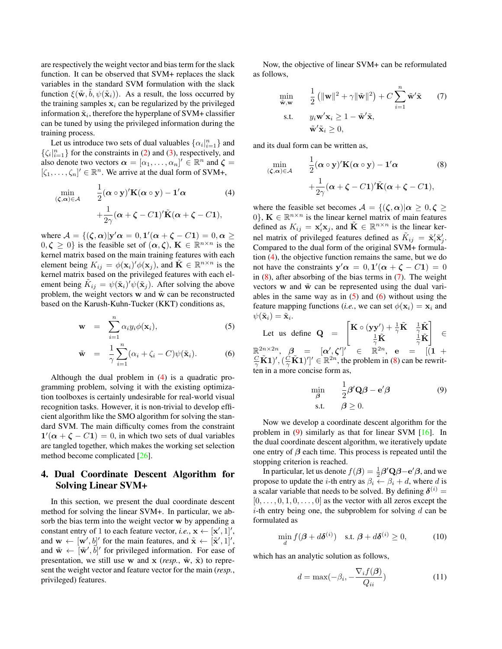are respectively the weight vector and bias term for the slack function. It can be observed that SVM+ replaces the slack variables in the standard SVM formulation with the slack function  $\xi(\tilde{\mathbf{w}}, \tilde{b}, \psi(\tilde{\mathbf{x}}_i))$ . As a result, the loss occurred by the training samples  $x_i$  can be regularized by the privileged information  $\tilde{\mathbf{x}}_i$ , therefore the hyperplane of SVM+ classifier can be tuned by using the privileged information during the training process.

Let us introduce two sets of dual valuables  $\{\alpha_i|_{i=1}^n\}$  and  $\{\zeta_i\}_{i=1}^n\}$  for the constraints in (2) and (3), respectively, and also denote two vectors  $\boldsymbol{\alpha} = [\alpha_1, \dots, \alpha_n]' \in \mathbb{R}^n$  and  $\boldsymbol{\zeta} =$  $[\zeta_1, \ldots, \zeta_n]' \in \mathbb{R}^n$ . We arrive at the dual form of SVM+,

$$
\min_{(\zeta,\alpha)\in\mathcal{A}} \quad \frac{1}{2}(\alpha\circ\mathbf{y})'\mathbf{K}(\alpha\circ\mathbf{y}) - \mathbf{1}'\alpha \tag{4}
$$
\n
$$
+ \frac{1}{2\gamma}(\alpha + \zeta - C\mathbf{1})'\tilde{\mathbf{K}}(\alpha + \zeta - C\mathbf{1}),
$$

where  $\mathcal{A} = \{(\zeta, \alpha)|\mathbf{y}'\alpha = 0, \mathbf{1}'(\alpha + \zeta - C\mathbf{1}) = 0, \alpha \geq 0\}$  $(0, \zeta \geq 0)$  is the feasible set of  $(\alpha, \zeta)$ ,  $\mathbf{K} \in \mathbb{R}^{n \times n}$  is the kernel matrix based on the main training features with each element being  $K_{ij} = \phi(\mathbf{x}_i)' \phi(\mathbf{x}_j)$ , and  $\tilde{\mathbf{K}} \in \mathbb{R}^{n \times n}$  is the kernel matrix based on the privileged features with each element being  $\tilde{K}_{ij} = \psi(\tilde{\mathbf{x}}_i)' \psi(\tilde{\mathbf{x}}_j)$ . After solving the above problem, the weight vectors  $w$  and  $\tilde{w}$  can be reconstructed based on the Karush-Kuhn-Tucker (KKT) conditions as,

$$
\mathbf{w} = \sum_{i=1}^{n} \alpha_i y_i \phi(\mathbf{x}_i), \qquad (5)
$$

$$
\tilde{\mathbf{w}} = \frac{1}{\gamma} \sum_{i=1}^{n} (\alpha_i + \zeta_i - C) \psi(\tilde{\mathbf{x}}_i).
$$
 (6)

Although the dual problem in (4) is a quadratic programming problem, solving it with the existing optimization toolboxes is certainly undesirable for real-world visual recognition tasks. However, it is non-trivial to develop efficient algorithm like the SMO algorithm for solving the standard SVM. The main difficulty comes from the constraint  $\mathbf{1}'(\alpha + \zeta - C\mathbf{1}) = 0$ , in which two sets of dual variables are tangled together, which makes the working set selection method become complicated [26].

## 4. Dual Coordinate Descent Algorithm for Solving Linear SVM+

In this section, we present the dual coordinate descent method for solving the linear SVM+. In particular, we absorb the bias term into the weight vector **w** by appending a constant entry of 1 to each feature vector, *i.e.*,  $\mathbf{x} \leftarrow [\mathbf{x}', 1]'$ , and  $\mathbf{w} \leftarrow [\mathbf{w}', b]'$  for the main features, and  $\tilde{\mathbf{x}} \leftarrow [\tilde{\mathbf{x}}', 1]'$ , and  $\tilde{\mathbf{w}} \leftarrow [\tilde{\mathbf{w}}', \tilde{b}]'$  for privileged information. For ease of presentation, we still use **w** and **x** (*resp.*,  $\tilde{\mathbf{w}}$ ,  $\tilde{\mathbf{x}}$ ) to represent the weight vector and feature vector for the main (*resp.*, privileged) features.

Now, the objective of linear SVM+ can be reformulated as follows,

$$
\min_{\tilde{\mathbf{w}}, \mathbf{w}} \quad \frac{1}{2} \left( \|\mathbf{w}\|^2 + \gamma \|\tilde{\mathbf{w}}\|^2 \right) + C \sum_{i=1}^n \tilde{\mathbf{w}}' \tilde{\mathbf{x}} \quad (7)
$$
\n
$$
\text{s.t.} \quad y_i \mathbf{w}' \mathbf{x}_i \ge 1 - \tilde{\mathbf{w}}' \tilde{\mathbf{x}},
$$
\n
$$
\tilde{\mathbf{w}}' \tilde{\mathbf{x}}_i \ge 0,
$$

and its dual form can be written as,

$$
\min_{(\zeta,\alpha)\in\mathcal{A}} \quad \frac{1}{2}(\alpha \circ \mathbf{y})'\mathbf{K}(\alpha \circ \mathbf{y}) - \mathbf{1}'\alpha \tag{8}
$$
\n
$$
+ \frac{1}{2\gamma}(\alpha + \zeta - C\mathbf{1})'\tilde{\mathbf{K}}(\alpha + \zeta - C\mathbf{1}),
$$

where the feasible set becomes  $A = \{(\zeta, \alpha) | \alpha \geq 0, \zeta \geq 0\}$ 0<sup>}</sup>,  $\mathbf{K} \in \mathbb{R}^{n \times n}$  is the linear kernel matrix of main features defined as  $K_{ij} = \mathbf{x}'_i \mathbf{x}_j$ , and  $\tilde{\mathbf{K}} \in \mathbb{R}^{n \times n}$  is the linear kernel matrix of privileged features defined as  $\tilde{K}_{ij} = \tilde{\mathbf{x}}'_i \tilde{\mathbf{x}}'_j$ . Compared to the dual form of the original SVM+ formulation (4), the objective function remains the same, but we do not have the constraints  $y' \alpha = 0$ ,  $1'(\alpha + \zeta - C1) = 0$ in  $(8)$ , after absorbing of the bias terms in  $(7)$ . The weight vectors  $w$  and  $\tilde{w}$  can be represented using the dual variables in the same way as in  $(5)$  and  $(6)$  without using the feature mapping functions (*i.e.*, we can set  $\phi(\mathbf{x}_i) = \mathbf{x}_i$  and  $\psi(\tilde{\mathbf{x}}_i) = \tilde{\mathbf{x}}_i.$ 

Let us define  $Q =$  $\int_{0}^{\infty} \mathbf{K} \cdot (\mathbf{y} \mathbf{y}') + \frac{1}{\gamma} \tilde{\mathbf{K}} \quad \frac{1}{\gamma} \tilde{\mathbf{K}}$  $\frac{1}{\gamma} \tilde{\mathbf{K}}$   $\frac{\mathbf{i}}{\gamma} \tilde{\mathbf{K}}$ ] *∈*  $\mathbb{R}^{2n \times 2n}, \quad \beta_{\perp} = [\alpha', \zeta']' \quad \in \quad \mathbb{R}^{2n}, \quad \mathbf{e} \quad = \quad [(1 \; + \; -1)$  $\frac{C}{\gamma}$ **K**1<sup> $\}'$ </sup>,  $(\frac{C}{\gamma}$ **K**1<sup> $\)$ </sup><sup> $\}'$ </sup>  $\in \mathbb{R}^{2n}$ , the problem in (8) can be rewritten in a more concise form as,

$$
\min_{\beta} \qquad \frac{1}{2}\beta' \mathbf{Q}\beta - \mathbf{e}'\beta \tag{9}
$$
  
s.t. 
$$
\beta \ge 0.
$$

Now we develop a coordinate descent algorithm for the problem in  $(9)$  similarly as that for linear SVM  $[16]$ . In the dual coordinate descent algorithm, we iteratively update one entry of *β* each time. This process is repeated until the stopping criterion is reached.

In particular, let us denote  $f(\beta) = \frac{1}{2}\beta' \mathbf{Q} \beta - \mathbf{e}' \beta$ , and we propose to update the *i*-th entry as  $\beta_i \leftarrow \beta_i + d$ , where *d* is a scalar variable that needs to be solved. By defining  $\delta^{(i)}$  =  $[0, \ldots, 0, 1, 0, \ldots, 0]$  as the vector with all zeros except the *i*-th entry being one, the subproblem for solving *d* can be formulated as

$$
\min_{d} f(\boldsymbol{\beta} + d\boldsymbol{\delta}^{(i)}) \quad \text{s.t. } \boldsymbol{\beta} + d\boldsymbol{\delta}^{(i)} \ge 0,
$$
\n(10)

which has an analytic solution as follows,

$$
d = \max(-\beta_i, -\frac{\nabla_i f(\boldsymbol{\beta})}{Q_{ii}})
$$
\n(11)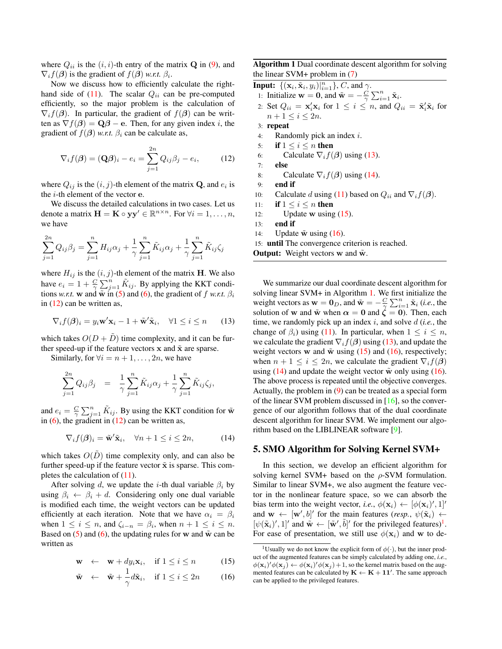where  $Q_{ii}$  is the  $(i, i)$ -th entry of the matrix **Q** in (9), and  $\nabla_i f(\boldsymbol{\beta})$  is the gradient of  $f(\boldsymbol{\beta})$  *w.r.t.*  $\beta_i$ .

Now we discuss how to efficiently calculate the righthand side of  $(11)$ . The scalar  $Q_{ii}$  can be pre-computed efficiently, so the major problem is the calculation of  $\nabla_i f(\boldsymbol{\beta})$ . In particular, the gradient of  $f(\boldsymbol{\beta})$  can be written as  $\nabla f(\boldsymbol{\beta}) = \mathbf{Q}\boldsymbol{\beta} - \mathbf{e}$ . Then, for any given index *i*, the gradient of  $f(\boldsymbol{\beta})$  *w.r.t.*  $\beta_i$  can be calculate as,

$$
\nabla_i f(\boldsymbol{\beta}) = (\mathbf{Q}\boldsymbol{\beta})_i - e_i = \sum_{j=1}^{2n} Q_{ij} \beta_j - e_i, \qquad (12)
$$

where  $Q_{ij}$  is the  $(i, j)$ -th element of the matrix **Q**, and  $e_i$  is the *i*-th element of the vector **e**.

We discuss the detailed calculations in two cases. Let us denote a matrix  $\mathbf{H} = \mathbf{K} \circ \mathbf{y} \mathbf{y}' \in \mathbb{R}^{n \times n}$ . For  $\forall i = 1, \dots, n$ , we have

$$
\sum_{j=1}^{2n} Q_{ij} \beta_j = \sum_{j=1}^{n} H_{ij} \alpha_j + \frac{1}{\gamma} \sum_{j=1}^{n} \tilde{K}_{ij} \alpha_j + \frac{1}{\gamma} \sum_{j=1}^{n} \tilde{K}_{ij} \zeta_j
$$

where  $H_{ij}$  is the  $(i, j)$ -th element of the matrix **H**. We also have  $e_i = 1 + \frac{C}{\gamma} \sum_{j=1}^n \tilde{K}_{ij}$ . By applying the KKT conditions *w.r.t.* **w** and  $\tilde{\mathbf{w}}$  in (5) and (6), the gradient of *f w.r.t.*  $\beta_i$ in  $(12)$  can be written as,

$$
\nabla_i f(\boldsymbol{\beta})_i = y_i \mathbf{w}' \mathbf{x}_i - 1 + \tilde{\mathbf{w}}' \tilde{\mathbf{x}}_i, \quad \forall 1 \le i \le n \qquad (13)
$$

which takes  $O(D + \tilde{D})$  time complexity, and it can be further speed-up if the feature vectors  $x$  and  $\tilde{x}$  are sparse.

Similarly, for  $\forall i = n+1, \ldots, 2n$ , we have

$$
\sum_{j=1}^{2n} Q_{ij} \beta_j = \frac{1}{\gamma} \sum_{j=1}^n \tilde{K}_{ij} \alpha_j + \frac{1}{\gamma} \sum_{j=1}^n \tilde{K}_{ij} \zeta_j,
$$

and  $e_i = \frac{C}{\gamma} \sum_{j=1}^n \tilde{K}_{ij}$ . By using the KKT condition for  $\tilde{\mathbf{w}}$ in  $(6)$ , the gradient in  $(12)$  can be written as,

$$
\nabla_i f(\boldsymbol{\beta})_i = \tilde{\mathbf{w}}' \tilde{\mathbf{x}}_i, \quad \forall n+1 \le i \le 2n,
$$
 (14)

which takes  $O(D)$  time complexity only, and can also be further speed-up if the feature vector  $\tilde{x}$  is sparse. This completes the calculation of (11).

After solving *d*, we update the *i*-th dual variable  $\beta_i$  by using  $\beta_i \leftarrow \beta_i + d$ . Considering only one dual variable is modified each time, the weight vectors can be updated efficiently at each iteration. Note that we have  $\alpha_i = \beta_i$ when  $1 \leq i \leq n$ , and  $\zeta_{i-n} = \beta_i$ , when  $n+1 \leq i \leq n$ . Based on  $(5)$  and  $(6)$ , the updating rules for **w** and  $\tilde{w}$  can be written as

$$
\mathbf{w} \quad \leftarrow \quad \mathbf{w} + dy_i \mathbf{x}_i, \quad \text{if } 1 \le i \le n \tag{15}
$$

$$
\tilde{\mathbf{w}} \leftarrow \tilde{\mathbf{w}} + \frac{1}{\gamma} d\tilde{\mathbf{x}}_i, \quad \text{if } 1 \le i \le 2n \tag{16}
$$

Algorithm 1 Dual coordinate descent algorithm for solving the linear SVM+ problem in (7)

Input:  $\{(\mathbf{x}_i, \tilde{\mathbf{x}}_i, y_i)|_{i=1}^n\}$ , *C*, and *γ*.

- 1: Initialize **w** = **0**, and  $\tilde{\mathbf{w}} = -\frac{\dot{C}}{\gamma} \sum_{i=1}^{n} \tilde{\mathbf{x}}_i$ .
- 2: Set  $Q_{ii} = \mathbf{x}'_i \mathbf{x}_i$  for  $1 \leq i \leq n$ , and  $Q_{ii} = \tilde{\mathbf{x}}'_i \tilde{\mathbf{x}}_i$  for  $n+1 \leq i \leq 2n$ .
- 3: repeat
- 4: Randomly pick an index *i*.
- 5: if  $1 \leq i \leq n$  then
- 6: Calculate  $\nabla_i f(\boldsymbol{\beta})$  using (13).
- 7: else
- 8: Calculate  $\nabla_i f(\boldsymbol{\beta})$  using (14).
- 9: end if
- 10: Calculate *d* using (11) based on  $Q_{ii}$  and  $\nabla_i f(\boldsymbol{\beta})$ .
- 11: if  $1 \leq i \leq n$  then
- 12: **Update w** using  $(15)$ .
- 13: end if

14: Update  $\tilde{\bf{w}}$  using (16).

15: until The convergence criterion is reached.

**Output:** Weight vectors **w** and  $\tilde{\textbf{w}}$ .

We summarize our dual coordinate descent algorithm for solving linear SVM+ in Algorithm 1. We first initialize the weight vectors as  $\mathbf{w} = \mathbf{0}_D$ , and  $\tilde{\mathbf{w}} = -\frac{C}{\gamma} \sum_{i=1}^n \tilde{\mathbf{x}}_i$  (*i.e.*, the solution of **w** and  $\tilde{\mathbf{w}}$  when  $\alpha = 0$  and  $\zeta = 0$ ). Then, each time, we randomly pick up an index *i*, and solve *d* (*i.e.*, the change of  $\beta_i$ ) using (11). In particular, when  $1 \leq i \leq n$ , we calculate the gradient  $\nabla_i f(\boldsymbol{\beta})$  using (13), and update the weight vectors **w** and  $\tilde{\mathbf{w}}$  using (15) and (16), respectively; when  $n + 1 \leq i \leq 2n$ , we calculate the gradient  $\nabla_i f(\boldsymbol{\beta})$ using  $(14)$  and update the weight vector  $\tilde{w}$  only using  $(16)$ . The above process is repeated until the objective converges. Actually, the problem in (9) can be treated as a special form of the linear SVM problem discussed in [16], so the convergence of our algorithm follows that of the dual coordinate descent algorithm for linear SVM. We implement our algorithm based on the LIBLINEAR software [9].

#### 5. SMO Algorithm for Solving Kernel SVM+

In this section, we develop an efficient algorithm for solving kernel SVM+ based on the *ρ*-SVM formulation. Similar to linear SVM+, we also augment the feature vector in the nonlinear feature space, so we can absorb the bias term into the weight vector, *i.e.*,  $\phi(\mathbf{x}_i) \leftarrow [\phi(\mathbf{x}_i)', 1]'$ and  $\mathbf{w} \leftarrow [\mathbf{w}', b]'$  for the main features (*resp.*,  $\psi(\tilde{\mathbf{x}}_i) \leftarrow$  $[\psi(\tilde{\mathbf{x}}_i)^\prime, 1]^\prime$  and  $\tilde{\mathbf{w}} \leftarrow [\tilde{\mathbf{w}}^\prime, \tilde{b}]^\prime$  for the privileged features)<sup>1</sup>. For ease of presentation, we still use  $\phi(\mathbf{x}_i)$  and **w** to de-

<sup>&</sup>lt;sup>1</sup>Usually we do not know the explicit form of  $\phi(\cdot)$ , but the inner product of the augmented features can be simply calculated by adding one, *i.e.*,  $\phi(\mathbf{x}_i)' \phi(\mathbf{x}_j) \leftarrow \phi(\mathbf{x}_i)' \phi(\mathbf{x}_j) + 1$ , so the kernel matrix based on the augmented features can be calculated by  $\mathbf{K} \leftarrow \mathbf{K} + \mathbf{11}'$ . The same approach can be applied to the privileged features.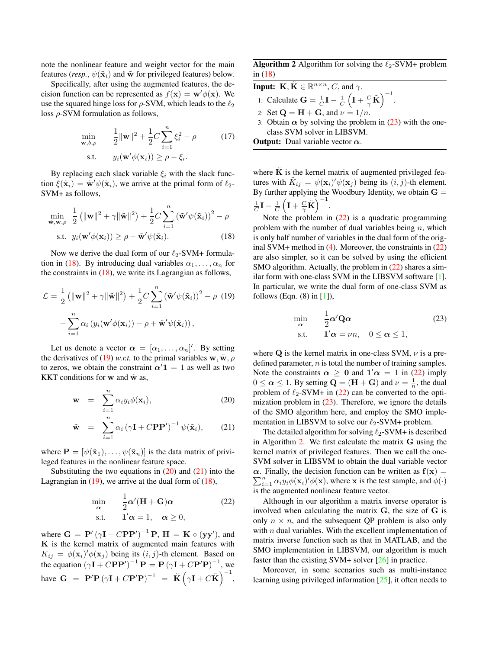note the nonlinear feature and weight vector for the main features (*resp.*,  $\psi(\tilde{\mathbf{x}}_i)$  and  $\tilde{\mathbf{w}}$  for privileged features) below.

Specifically, after using the augmented features, the decision function can be represented as  $f(\mathbf{x}) = \mathbf{w}'\phi(\mathbf{x})$ . We use the squared hinge loss for *ρ*-SVM, which leads to the *ℓ*<sup>2</sup> loss *ρ*-SVM formulation as follows,

$$
\min_{\mathbf{w}, b, \rho} \qquad \frac{1}{2} \|\mathbf{w}\|^2 + \frac{1}{2} C \sum_{i=1}^n \xi_i^2 - \rho \tag{17}
$$
\n
$$
\text{s.t.} \qquad y_i(\mathbf{w}'\phi(\mathbf{x}_i)) \ge \rho - \xi_i.
$$

By replacing each slack variable  $\xi$ <sub>*i*</sub> with the slack func- $\text{tion } \xi(\tilde{\mathbf{x}}_i) = \tilde{\mathbf{w}}' \psi(\tilde{\mathbf{x}}_i)$ , we arrive at the primal form of  $\ell_2$ -SVM+ as follows,

$$
\min_{\tilde{\mathbf{w}}, \mathbf{w}, \rho} \frac{1}{2} (||\mathbf{w}||^2 + \gamma ||\tilde{\mathbf{w}}||^2) + \frac{1}{2} C \sum_{i=1}^n (\tilde{\mathbf{w}}' \psi(\tilde{\mathbf{x}}_i))^2 - \rho
$$
  
s.t.  $y_i(\mathbf{w}' \phi(\mathbf{x}_i)) \ge \rho - \tilde{\mathbf{w}}' \psi(\tilde{\mathbf{x}}_i).$  (18)

Now we derive the dual form of our *ℓ*2-SVM+ formulation in (18). By introducing dual variables  $\alpha_1, \ldots, \alpha_n$  for the constraints in  $(18)$ , we write its Lagrangian as follows,

$$
\mathcal{L} = \frac{1}{2} \left( \|\mathbf{w}\|^2 + \gamma \|\tilde{\mathbf{w}}\|^2 \right) + \frac{1}{2} C \sum_{i=1}^n \left( \tilde{\mathbf{w}}' \psi(\tilde{\mathbf{x}}_i) \right)^2 - \rho \tag{19}
$$

$$
- \sum_{i=1}^n \alpha_i \left( y_i(\mathbf{w}' \phi(\mathbf{x}_i)) - \rho + \tilde{\mathbf{w}}' \psi(\tilde{\mathbf{x}}_i) \right),
$$

Let us denote a vector  $\boldsymbol{\alpha} = [\alpha_1, \dots, \alpha_n]'$ . By setting the derivatives of (19) *w.r.t.* to the primal variables  $\mathbf{w}, \tilde{\mathbf{w}}, \rho$ to zeros, we obtain the constraint  $\alpha'$ **1** = 1 as well as two **KKT** conditions for **w** and  $\tilde{\mathbf{w}}$  as,

$$
\mathbf{w} = \sum_{i=1}^{n} \alpha_i y_i \phi(\mathbf{x}_i), \qquad (20)
$$

$$
\tilde{\mathbf{w}} = \sum_{i=1}^{n} \alpha_i (\gamma \mathbf{I} + C\mathbf{P} \mathbf{P}')^{-1} \psi(\tilde{\mathbf{x}}_i), \qquad (21)
$$

where  $\mathbf{P} = [\psi(\tilde{\mathbf{x}}_1), \dots, \psi(\tilde{\mathbf{x}}_n)]$  is the data matrix of privileged features in the nonlinear feature space.

Substituting the two equations in  $(20)$  and  $(21)$  into the Lagrangian in  $(19)$ , we arrive at the dual form of  $(18)$ ,

$$
\min_{\alpha} \quad \frac{1}{2} \alpha' (\mathbf{H} + \mathbf{G}) \alpha \tag{22}
$$
\n
$$
\text{s.t.} \quad \mathbf{1}' \alpha = 1, \quad \alpha \ge 0,
$$

where  $G = P' (\gamma I + CPP')^{-1} P$ ,  $H = K \circ (yy')$ , and **K** is the kernel matrix of augmented main features with  $K_{ij} = \phi(\mathbf{x}_i)' \phi(\mathbf{x}_j)$  being its  $(i, j)$ -th element. Based on the equation  $(\gamma \mathbf{I} + C\mathbf{P}\mathbf{P}')^{-1}\mathbf{P} = \mathbf{P}(\gamma \mathbf{I} + C\mathbf{P}'\mathbf{P})^{-1}$ , we have  $G = P'P (\gamma I + CP'P)^{-1} = \tilde{K} (\gamma I + C\tilde{K})^{-1}$ , Algorithm 2 Algorithm for solving the *ℓ*2-SVM+ problem in (18)

**Input: K***,*  $\tilde{\mathbf{K}} \in \mathbb{R}^{n \times n}$ *, C,* and  $\gamma$ .

- 1: Calculate  $\mathbf{G} = \frac{1}{C}\mathbf{I} \frac{1}{C}$  $\left( \mathbf{I} + \frac{C}{\gamma} \tilde{\mathbf{K}} \right)^{-1}$ .
- 2: Set  $Q = H + G$ , and  $\nu = 1/n$ .
- 3: Obtain  $\alpha$  by solving the problem in (23) with the oneclass SVM solver in LIBSVM.
- Output: Dual variable vector *α*.

where  $\bf{K}$  is the kernel matrix of augmented privileged features with  $\tilde{K}_{ij} = \psi(\mathbf{x}_i)' \psi(\mathbf{x}_j)$  being its  $(i, j)$ -th element. By further applying the Woodbury Identity, we obtain  $G =$  $\frac{1}{C}$ **I**  $-\frac{1}{C}$  $\left( \mathbf{I} + \frac{C}{\gamma} \tilde{\mathbf{K}} \right)^{-1}$ .

Note the problem in  $(22)$  is a quadratic programming problem with the number of dual variables being *n*, which is only half number of variables in the dual form of the original SVM+ method in (4). Moreover, the constraints in (22) are also simpler, so it can be solved by using the efficient SMO algorithm. Actually, the problem in  $(22)$  shares a similar form with one-class SVM in the LIBSVM software [1]. In particular, we write the dual form of one-class SVM as follows (Eqn.  $(8)$  in  $[1]$ ),

$$
\min_{\alpha} \quad \frac{1}{2} \alpha' \mathbf{Q} \alpha \tag{23}
$$
\n
$$
\text{s.t.} \quad \mathbf{1}' \alpha = \nu n, \quad 0 \le \alpha \le 1,
$$

where  $Q$  is the kernel matrix in one-class SVM,  $\nu$  is a predefined parameter, *n* is total the number of training samples. Note the constraints  $\alpha \ge 0$  and  $1'\alpha = 1$  in (22) imply  $0 \le \alpha \le 1$ . By setting  $\mathbf{Q} = (\mathbf{H} + \mathbf{G})$  and  $\nu = \frac{1}{n}$ , the dual problem of  $\ell_2$ -SVM+ in (22) can be converted to the optimization problem in (23). Therefore, we ignore the details of the SMO algorithm here, and employ the SMO implementation in LIBSVM to solve our *ℓ*2-SVM+ problem.

The detailed algorithm for solving *ℓ*2-SVM+ is described in Algorithm 2. We first calculate the matrix **G** using the kernel matrix of privileged features. Then we call the one-SVM solver in LIBSVM to obtain the dual variable vector  $\alpha$ . Finally, the decision function can be written as  $f(x) =$  $\sum_{i=1}^{n} \alpha_i y_i \phi(\mathbf{x}_i)' \phi(\mathbf{x})$ , where **x** is the test sample, and  $\phi(\cdot)$ is the augmented nonlinear feature vector.

Although in our algorithm a matrix inverse operator is involved when calculating the matrix **G**, the size of **G** is only  $n \times n$ , and the subsequent QP problem is also only with *n* dual variables. With the excellent implementation of matrix inverse function such as that in MATLAB, and the SMO implementation in LIBSVM, our algorithm is much faster than the existing SVM+ solver [26] in practice.

Moreover, in some scenarios such as multi-instance learning using privileged information [25], it often needs to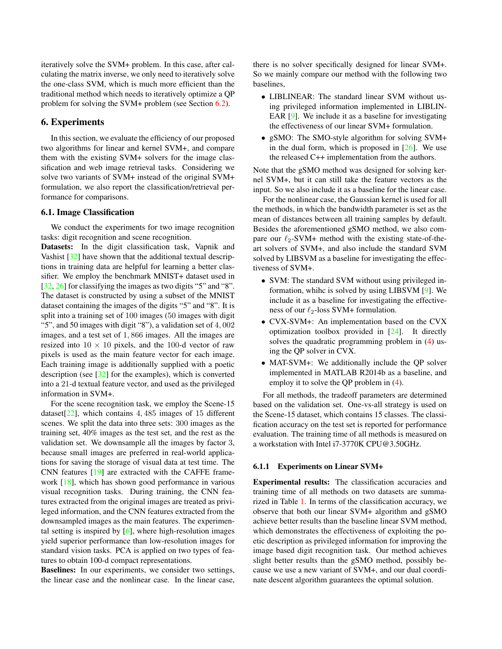iteratively solve the SVM+ problem. In this case, after calculating the matrix inverse, we only need to iteratively solve the one-class SVM, which is much more efficient than the traditional method which needs to iteratively optimize a QP problem for solving the SVM+ problem (see Section 6.2).

### 6. Experiments

In this section, we evaluate the efficiency of our proposed two algorithms for linear and kernel SVM+, and compare them with the existing SVM+ solvers for the image classification and web image retrieval tasks. Considering we solve two variants of SVM+ instead of the original SVM+ formulation, we also report the classification/retrieval performance for comparisons.

#### 6.1. Image Classification

We conduct the experiments for two image recognition tasks: digit recognition and scene recognition.

Datasets: In the digit classification task, Vapnik and Vashist [32] have shown that the additional textual descriptions in training data are helpful for learning a better classifier. We employ the benchmark MNIST+ dataset used in [32, 26] for classifying the images as two digits "5" and "8". The dataset is constructed by using a subset of the MNIST dataset containing the images of the digits "5" and "8". It is split into a training set of 100 images (50 images with digit "5", and 50 images with digit "8"), a validation set of 4*,* 002 images, and a test set of 1*,* 866 images. All the images are resized into  $10 \times 10$  pixels, and the 100-d vector of raw pixels is used as the main feature vector for each image. Each training image is additionally supplied with a poetic description (see [32] for the examples), which is converted into a 21-d textual feature vector, and used as the privileged information in SVM+.

For the scene recognition task, we employ the Scene-15 dataset[22], which contains 4*,* 485 images of 15 different scenes. We split the data into three sets: 300 images as the training set, 40% images as the test set, and the rest as the validation set. We downsample all the images by factor 3, because small images are preferred in real-world applications for saving the storage of visual data at test time. The CNN features [19] are extracted with the CAFFE framework [18], which has shown good performance in various visual recognition tasks. During training, the CNN features extracted from the original images are treated as privileged information, and the CNN features extracted from the downsampled images as the main features. The experimental setting is inspired by  $[6]$ , where high-resolution images yield superior performance than low-resolution images for standard vision tasks. PCA is applied on two types of features to obtain 100-d compact representations.

Baselines: In our experiments, we consider two settings, the linear case and the nonlinear case. In the linear case,

there is no solver specifically designed for linear SVM+. So we mainly compare our method with the following two baselines,

- *•* LIBLINEAR: The standard linear SVM without using privileged information implemented in LIBLIN-EAR [9]. We include it as a baseline for investigating the effectiveness of our linear SVM+ formulation.
- *•* gSMO: The SMO-style algorithm for solving SVM+ in the dual form, which is proposed in  $[26]$ . We use the released C++ implementation from the authors.

Note that the gSMO method was designed for solving kernel SVM+, but it can still take the feature vectors as the input. So we also include it as a baseline for the linear case.

For the nonlinear case, the Gaussian kernel is used for all the methods, in which the bandwidth parameter is set as the mean of distances between all training samples by default. Besides the aforementioned gSMO method, we also compare our  $\ell_2$ -SVM+ method with the existing state-of-theart solvers of SVM+, and also include the standard SVM solved by LIBSVM as a baseline for investigating the effectiveness of SVM+.

- SVM: The standard SVM without using privileged information, whihc is solved by using LIBSVM [9]. We include it as a baseline for investigating the effectiveness of our *ℓ*2-loss SVM+ formulation.
- *•* CVX-SVM+: An implementation based on the CVX optimization toolbox provided in [24]. It directly solves the quadratic programming problem in (4) using the QP solver in CVX.
- MAT-SVM+: We additionally include the QP solver implemented in MATLAB R2014b as a baseline, and employ it to solve the QP problem in (4).

For all methods, the tradeoff parameters are determined based on the validation set. One-vs-all strategy is used on the Scene-15 dataset, which contains 15 classes. The classification accuracy on the test set is reported for performance evaluation. The training time of all methods is measured on a workstation with Intel i7-3770K CPU@3.50GHz.

#### 6.1.1 Experiments on Linear SVM+

Experimental results: The classification accuracies and training time of all methods on two datasets are summarized in Table 1. In terms of the classification accuracy, we observe that both our linear SVM+ algorithm and gSMO achieve better results than the baseline linear SVM method, which demonstrates the effectiveness of exploiting the poetic description as privileged information for improving the image based digit recognition task. Our method achieves slight better results than the gSMO method, possibly because we use a new variant of SVM+, and our dual coordinate descent algorithm guarantees the optimal solution.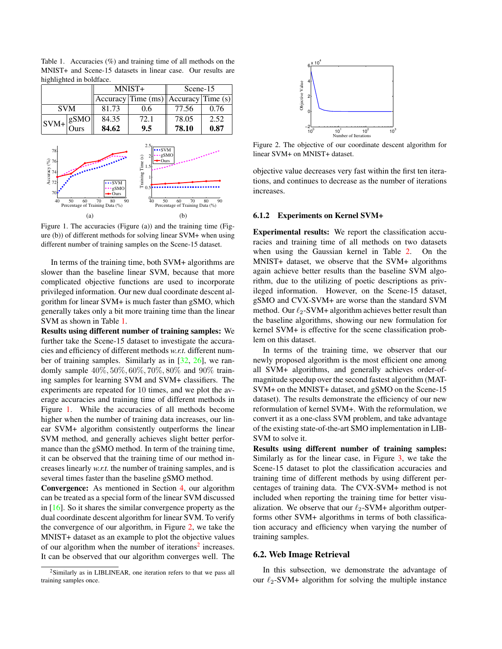| nighlighted in boldface. |                                       |  |        |                                          |          |      |
|--------------------------|---------------------------------------|--|--------|------------------------------------------|----------|------|
|                          |                                       |  | MNIST+ |                                          | Scene-15 |      |
|                          |                                       |  |        | $ Accuracy Time (ms)  Accuracy Time (s)$ |          |      |
|                          | <b>SVM</b>                            |  | 81.73  | 0.6                                      | 77.56    | 0.76 |
|                          | $\sqrt{sVM+}\sqrt{\frac{gSMO}{Ours}}$ |  | 84.35  | 72.1                                     | 78.05    | 2.52 |
|                          |                                       |  | 84.62  | 9.5                                      | 78.10    | 0.87 |

Table 1. Accuracies (%) and training time of all methods on the MNIST+ and Scene-15 datasets in linear case. Our results are highlighted in boldface.



Figure 1. The accuracies (Figure (a)) and the training time (Figure (b)) of different methods for solving linear SVM+ when using different number of training samples on the Scene-15 dataset.

In terms of the training time, both SVM+ algorithms are slower than the baseline linear SVM, because that more complicated objective functions are used to incorporate privileged information. Our new dual coordinate descent algorithm for linear SVM+ is much faster than gSMO, which generally takes only a bit more training time than the linear SVM as shown in Table 1.

Results using different number of training samples: We further take the Scene-15 dataset to investigate the accuracies and efficiency of different methods *w.r.t.* different number of training samples. Similarly as in [32, 26], we randomly sample 40%*,* 50%*,* 60%*,* 70%*,* 80% and 90% training samples for learning SVM and SVM+ classifiers. The experiments are repeated for 10 times, and we plot the average accuracies and training time of different methods in Figure 1. While the accuracies of all methods become higher when the number of training data increases, our linear SVM+ algorithm consistently outperforms the linear SVM method, and generally achieves slight better performance than the gSMO method. In term of the training time, it can be observed that the training time of our method increases linearly *w.r.t.* the number of training samples, and is several times faster than the baseline gSMO method.

Convergence: As mentioned in Section 4, our algorithm can be treated as a special form of the linear SVM discussed in [16]. So it shares the similar convergence property as the dual coordinate descent algorithm for linear SVM. To verify the convergence of our algorithm, in Figure 2, we take the MNIST+ dataset as an example to plot the objective values of our algorithm when the number of iterations<sup>2</sup> increases. It can be observed that our algorithm converges well. The





Figure 2. The objective of our coordinate descent algorithm for linear SVM+ on MNIST+ dataset.

objective value decreases very fast within the first ten iterations, and continues to decrease as the number of iterations increases.

#### 6.1.2 Experiments on Kernel SVM+

Experimental results: We report the classification accuracies and training time of all methods on two datasets when using the Gaussian kernel in Table 2. On the MNIST+ dataset, we observe that the SVM+ algorithms again achieve better results than the baseline SVM algorithm, due to the utilizing of poetic descriptions as privileged information. However, on the Scene-15 dataset, gSMO and CVX-SVM+ are worse than the standard SVM method. Our  $\ell_2$ -SVM+ algorithm achieves better result than the baseline algorithms, showing our new formulation for kernel SVM+ is effective for the scene classification problem on this dataset.

In terms of the training time, we observer that our newly proposed algorithm is the most efficient one among all SVM+ algorithms, and generally achieves order-ofmagnitude speedup over the second fastest algorithm (MAT-SVM+ on the MNIST+ dataset, and gSMO on the Scene-15 dataset). The results demonstrate the efficiency of our new reformulation of kernel SVM+. With the reformulation, we convert it as a one-class SVM problem, and take advantage of the existing state-of-the-art SMO implementation in LIB-SVM to solve it.

Results using different number of training samples: Similarly as for the linear case, in Figure 3, we take the Scene-15 dataset to plot the classification accuracies and training time of different methods by using different percentages of training data. The CVX-SVM+ method is not included when reporting the training time for better visualization. We observe that our *ℓ*2-SVM+ algorithm outperforms other SVM+ algorithms in terms of both classification accuracy and efficiency when varying the number of training samples.

## 6.2. Web Image Retrieval

In this subsection, we demonstrate the advantage of our *ℓ*2-SVM+ algorithm for solving the multiple instance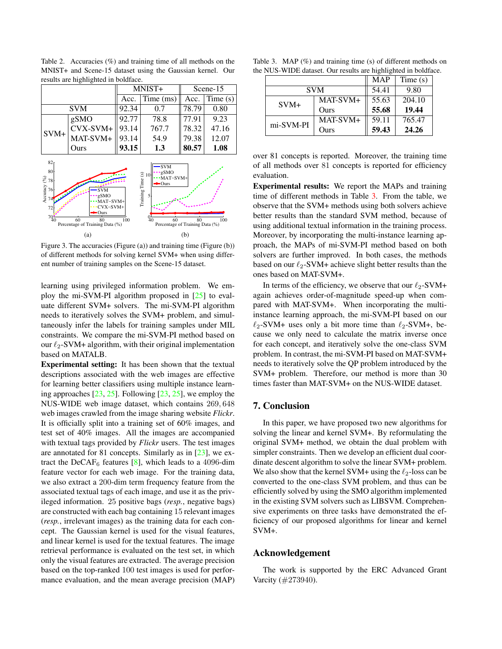|                                                                                                                                                                                                                                                                                                                                                           |            | MNIST+ |           | Scene-15 |         |  |
|-----------------------------------------------------------------------------------------------------------------------------------------------------------------------------------------------------------------------------------------------------------------------------------------------------------------------------------------------------------|------------|--------|-----------|----------|---------|--|
|                                                                                                                                                                                                                                                                                                                                                           |            | Acc.   | Time (ms) | Acc.     | Time(s) |  |
|                                                                                                                                                                                                                                                                                                                                                           | <b>SVM</b> |        | 0.7       | 78.79    | 0.80    |  |
|                                                                                                                                                                                                                                                                                                                                                           | gSMO       |        | 78.8      | 77.91    | 9.23    |  |
|                                                                                                                                                                                                                                                                                                                                                           | CVX-SVM+   | 93.14  | 767.7     | 78.32    | 47.16   |  |
| $SVM+$                                                                                                                                                                                                                                                                                                                                                    | MAT-SVM+   | 93.14  | 54.9      | 79.38    | 12.07   |  |
|                                                                                                                                                                                                                                                                                                                                                           | Ours       | 93.15  | 1.3       | 80.57    | 1.08    |  |
| 82 <sub>0</sub><br><b>SVM</b><br>80<br>gSMO<br>Training Time (s)<br>10<br>MAT-SVM+<br>Accuracy $\frac{6}{3}$<br>Accuracy $\frac{76}{4}$<br>•Ours<br>-SVM<br>-gSMO<br>5<br>MAT-SVM+<br>CVX-SVM+<br>72<br>Ours<br>$^{70^\mathrm{o}}_{40}$<br>60<br>60<br>80<br>100<br>100<br>80<br>40<br>Percentage of Training Data (%)<br>Percentage of Training Data (%) |            |        |           |          |         |  |
|                                                                                                                                                                                                                                                                                                                                                           | (a)        |        | (b)       |          |         |  |

Table 2. Accuracies (%) and training time of all methods on the MNIST+ and Scene-15 dataset using the Gaussian kernel. Our results are highlighted in boldface.

Figure 3. The accuracies (Figure (a)) and training time (Figure (b)) of different methods for solving kernel SVM+ when using different number of training samples on the Scene-15 dataset.

learning using privileged information problem. We employ the mi-SVM-PI algorithm proposed in [25] to evaluate different SVM+ solvers. The mi-SVM-PI algorithm needs to iteratively solves the SVM+ problem, and simultaneously infer the labels for training samples under MIL constraints. We compare the mi-SVM-PI method based on our *ℓ*2-SVM+ algorithm, with their original implementation based on MATALB.

Experimental setting: It has been shown that the textual descriptions associated with the web images are effective for learning better classifiers using multiple instance learning approaches [23, 25]. Following [23, 25], we employ the NUS-WIDE web image dataset, which contains 269*,* 648 web images crawled from the image sharing website *Flickr*. It is officially split into a training set of 60% images, and test set of 40% images. All the images are accompanied with textual tags provided by *Flickr* users. The test images are annotated for 81 concepts. Similarly as in [23], we extract the DeCAF<sub>6</sub> features [8], which leads to a 4096-dim feature vector for each web image. For the training data, we also extract a 200-dim term frequency feature from the associated textual tags of each image, and use it as the privileged information. 25 positive bags (*resp.*, negative bags) are constructed with each bag containing 15 relevant images (*resp.*, irrelevant images) as the training data for each concept. The Gaussian kernel is used for the visual features, and linear kernel is used for the textual features. The image retrieval performance is evaluated on the test set, in which only the visual features are extracted. The average precision based on the top-ranked 100 test images is used for performance evaluation, and the mean average precision (MAP)

|  | Table 3. MAP $(\%)$ and training time (s) of different methods on |  |
|--|-------------------------------------------------------------------|--|
|  | the NUS-WIDE dataset. Our results are highlighted in boldface.    |  |

|           |            | <b>MAP</b> | Time(s) |
|-----------|------------|------------|---------|
|           | <b>SVM</b> | 54.41      | 9.80    |
| $SVM+$    | MAT-SVM+   | 55.63      | 204.10  |
|           | Ours       | 55.68      | 19.44   |
| mi-SVM-PI | MAT-SVM+   | 59.11      | 765.47  |
|           | Ours       | 59.43      | 24.26   |

over 81 concepts is reported. Moreover, the training time of all methods over 81 concepts is reported for efficiency evaluation.

Experimental results: We report the MAPs and training time of different methods in Table 3. From the table, we observe that the SVM+ methods using both solvers achieve better results than the standard SVM method, because of using additional textual information in the training process. Moreover, by incorporating the multi-instance learning approach, the MAPs of mi-SVM-PI method based on both solvers are further improved. In both cases, the methods based on our *ℓ*2-SVM+ achieve slight better results than the ones based on MAT-SVM+.

In terms of the efficiency, we observe that our *ℓ*2-SVM+ again achieves order-of-magnitude speed-up when compared with MAT-SVM+. When incorporating the multiinstance learning approach, the mi-SVM-PI based on our *ℓ*2-SVM+ uses only a bit more time than *ℓ*2-SVM+, because we only need to calculate the matrix inverse once for each concept, and iteratively solve the one-class SVM problem. In contrast, the mi-SVM-PI based on MAT-SVM+ needs to iteratively solve the QP problem introduced by the SVM+ problem. Therefore, our method is more than 30 times faster than MAT-SVM+ on the NUS-WIDE dataset.

## 7. Conclusion

In this paper, we have proposed two new algorithms for solving the linear and kernel SVM+. By reformulating the original SVM+ method, we obtain the dual problem with simpler constraints. Then we develop an efficient dual coordinate descent algorithm to solve the linear SVM+ problem. We also show that the kernel SVM+ using the *ℓ*2-loss can be converted to the one-class SVM problem, and thus can be efficiently solved by using the SMO algorithm implemented in the existing SVM solvers such as LIBSVM. Comprehensive experiments on three tasks have demonstrated the efficiency of our proposed algorithms for linear and kernel SVM+.

### Acknowledgement

The work is supported by the ERC Advanced Grant Varcity (#273940).